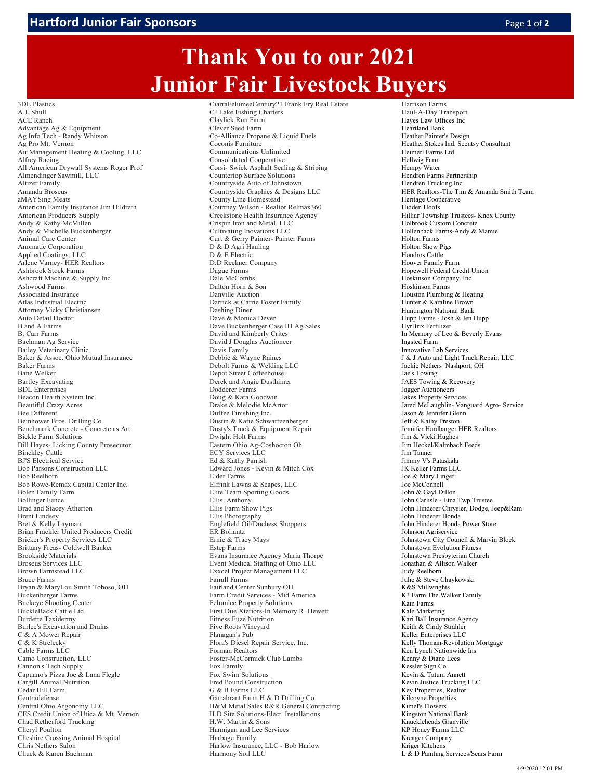## **Thank You to our 2021 Junior Fair Livestock Buyers**

3DE Plastics A.J. Shull ACE Ranch Advantage Ag & Equipment Ag Info Tech - Randy Whitson Ag Pro Mt. Vernon Air Management Heating & Cooling, LLC Alfrey Racing All American Drywall Systems Roger Prof Almendinger Sawmill, LLC Altizer Family Amanda Broseus aMAYSing Meats American Family Insurance Jim Hildreth American Producers Supply Andy & Kathy McMillen Andy & Michelle Buckenberger Animal Care Center Anomatic Corporation Applied Coatings, LLC Arlene Varney- HER Realtors Ashbrook Stock Farms Ashcraft Machine & Supply Inc Ashwood Farms Associated Insurance Atlas Industrial Electric Attorney Vicky Christiansen Auto Detail Doctor B and A Farms B. Carr Farms Bachman Ag Service Bailey Veterinary Clinic Baker & Assoc. Ohio Mutual Insurance Baker Farms Bane Welker Bartley Excavating BDL Enterprises Beacon Health System Inc. Beautiful Crazy Acres Bee Different Beinhower Bros. Drilling Co Benchmark Concrete - Concrete as Art Bickle Farm Solutions Bill Hayes- Licking County Prosecutor Binckley Cattle BJ'S Electrical Service Bob Parsons Construction LLC Bob Reelhorn Bob Rowe-Remax Capital Center Inc. Bolen Family Farm Bollinger Fence Brad and Stacey Atherton Brent Lindsey Bret & Kelly Layman Brian Frackler United Producers Credit Bricker's Property Services LLC Brittany Freas- Coldwell Banker Brookside Materials Broseus Services LLC Brown Farmstead LLC Bruce Farms Bryan & MaryLou Smith Toboso, OH Buckenberger Farms Buckeye Shooting Center BuckleBack Cattle Ltd. Burdette Taxidermy Burlee's Excavation and Drains C & A Mower Repair C & K Strelecky Cable Farms LLC Camo Construction, LLC Cannon's Tech Supply Capuano's Pizza Joe & Lana Flegle Cargill Animal Nutrition Cedar Hill Farm Centradefense Central Ohio Argonomy LLC CES Credit Union of Utica & Mt. Vernon Chad Retherford Trucking Cheryl Poulton Cheshire Crossing Animal Hospital Chris Nethers Salon Chuck & Karen Bachman

CiarraFelumeeCentury21 Frank Fry Real Estate CJ Lake Fishing Charters Claylick Run Farm Clever Seed Farm Co-Alliance Propane & Liquid Fuels Coconis Furniture Communications Unlimited Consolidated Cooperative Corsi- Swick Asphalt Sealing & Striping Countertop Surface Solutions Countryside Auto of Johnstown Countryside Graphics & Designs LLC County Line Homestead Courtney Wilson - Realtor Relmax360 Creekstone Health Insurance Agency Crispin Iron and Metal, LLC Cultivating Inovations LLC Curt & Gerry Painter- Painter Farms D & D Agri Hauling D & E Electric D.D Reckner Company Dague Farms Dale McCombs Dalton Horn & Son Danville Auction Darrick & Carrie Foster Family Dashing Diner Dave & Monica Dever Dave Buckenberger Case IH Ag Sales David and Kimberly Crites David J Douglas Auctioneer Davis Family Debbie & Wayne Raines Debolt Farms & Welding LLC Depot Street Coffeehouse Derek and Angie Dusthimer Dodderer Farms Doug & Kara Goodwin Drake & Melodie McArtor Duffee Finishing Inc. Dustin & Katie Schwartzenberger Dusty's Truck & Equipment Repair Dwight Holt Farms Eastern Ohio Ag-Coshocton Oh ECY Services LLC Ed & Kathy Parrish Edward Jones - Kevin & Mitch Cox Elder Farms Elfrink Lawns & Scapes, LLC Elite Team Sporting Goods Ellis, Anthony Ellis Farm Show Pigs Ellis Photography Englefield Oil/Duchess Shoppers ER Boliantz Ernie & Tracy Mays Estep Farms Evans Insurance Agency Maria Thorpe Event Medical Staffing of Ohio LLC Exxcel Project Management LLC Fairall Farms Fairland Center Sunbury OH Farm Credit Services - Mid America Felumlee Property Solutions First Due Xteriors-In Memory R. Hewett Fitness Fuze Nutrition Five Roots Vineyard Flanagan's Pub Flora's Diesel Repair Service, Inc. Forman Realtors Foster-McCormick Club Lambs Fox Family Fox Swim Solutions Fred Pound Construction G & B Farms LLC Garrabrant Farm H & D Drilling Co. H&M Metal Sales R&R General Contracting H.D Site Solutions-Elect. Installations H.W. Martin & Sons Hannigan and Lee Services Harbage Family Harlow Insurance, LLC - Bob Harlow Harmony Soil LLC

Harrison Farms Haul-A-Day Transport Hayes Law Offices Inc Heartland Bank Heather Painter's Design Heather Stokes Ind. Scentsy Consultant Heimerl Farms Ltd Hellwig Farm Hempy Water Hendren Farms Partnership Hendren Trucking Inc HER Realtors-The Tim & Amanda Smith Team Heritage Cooperative Hidden Hoofs Hilliar Township Trustees- Knox County Holbrook Custom Concrete Hollenback Farms-Andy & Mamie Holton Farms Holton Show Pigs Hondros Cattle Hoover Family Farm Hopewell Federal Credit Union Hoskinson Company. Inc Hoskinson Farms Houston Plumbing & Heating Hunter & Karaline Brown Huntington National Bank Hupp Farms - Josh & Jen Hupp HyrBrix Fertilizer In Memory of Leo & Beverly Evans Ingsted Farm Innovative Lab Services J & J Auto and Light Truck Repair, LLC Jackie Nethers Nashport, OH Jae's Towing JAES Towing & Recovery Jagger Auctioneers Jakes Property Services Jared McLaughlin- Vanguard Agro- Service Jason & Jennifer Glenn Jeff & Kathy Preston Jennifer Hardbarger HER Realtors Jim & Vicki Hughes Jim Heckel/Kalmbach Feeds Jim Tanner Jimmy V's Pataskala JK Keller Farms LLC Joe & Mary Linger Joe McConnell John & Gayl Dillon John Carlisle - Etna Twp Trustee John Hinderer Chrysler, Dodge, Jeep&Ram John Hinderer Honda John Hinderer Honda Power Store Johnson Agriservice Johnstown City Council & Marvin Block Johnstown Evolution Fitness Johnstown Presbyterian Church Jonathan & Allison Walker Judy Reelhorn Julie & Steve Chaykowski K&S Millwrights K<sub>3</sub> Farm The Walker Family Kain Farms Kale Marketing Kari Ball Insurance Agency Keith & Cindy Strahler Keller Enterprises LLC Kelly Thoman-Revolution Mortgage Ken Lynch Nationwide Ins Kenny & Diane Lees Kessler Sign Co Kevin & Tatum Annett Kevin Justice Trucking LLC Key Properties, Realtor Kilcoyne Properties Kimel's Flowers Kingston National Bank Knuckleheads Granville KP Honey Farms LLC Kreager Company Kriger Kitchens L & D Painting Services/Sears Farm